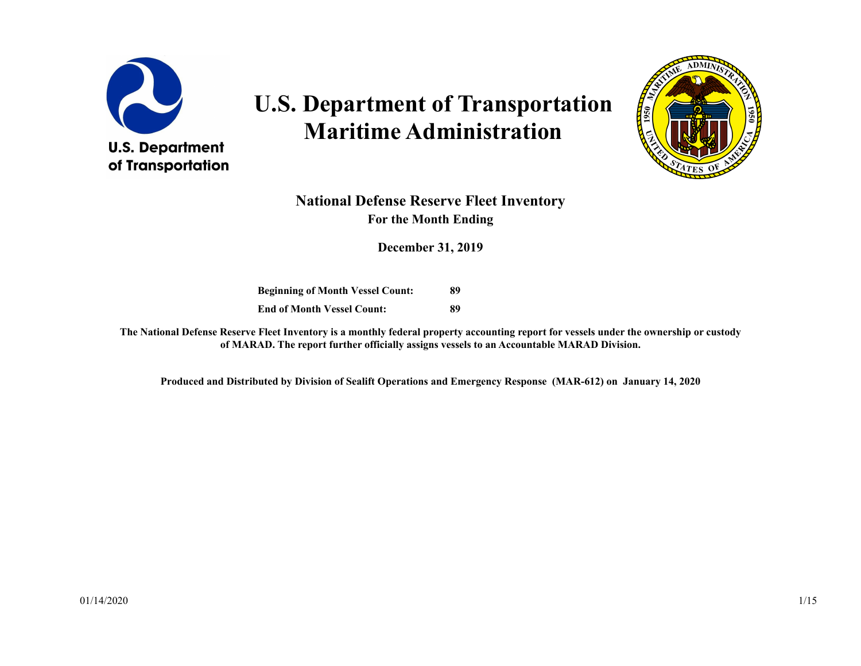

# **U.S. Department of Transportation Maritime Administration**



#### **National Defense Reserve Fleet Inventory For the Month Ending**

**December 31, 2019**

**Beginning of Month Vessel Count: End of Month Vessel Count: 89 89**

**The National Defense Reserve Fleet Inventory is a monthly federal property accounting report for vessels under the ownership or custody of MARAD. The report further officially assigns vessels to an Accountable MARAD Division.**

**Produced and Distributed by Division of Sealift Operations and Emergency Response (MAR-612) on January 14, 2020**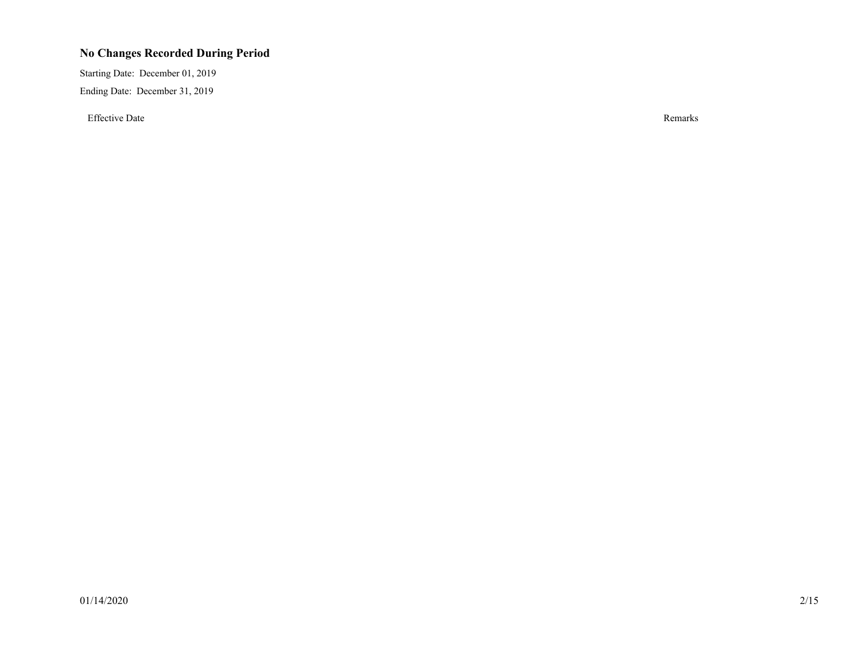#### **No Changes Recorded During Period**

Starting Date: December 01, 2019 Ending Date: December 31, 2019

Effective Date Remarks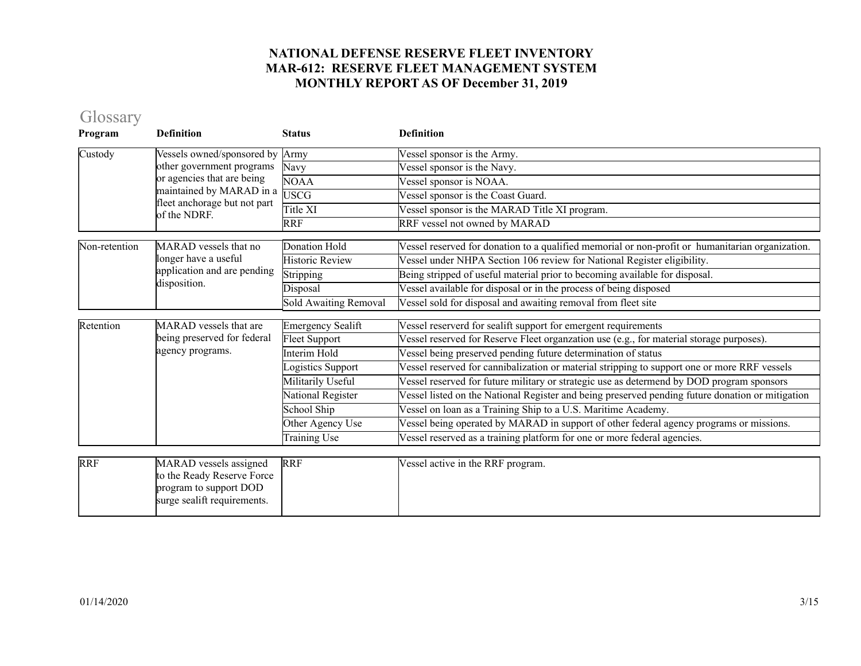# Glossary

| Program       | <b>Definition</b>                                                                                             | <b>Status</b>                | <b>Definition</b>                                                                                |
|---------------|---------------------------------------------------------------------------------------------------------------|------------------------------|--------------------------------------------------------------------------------------------------|
| Custody       | Vessels owned/sponsored by                                                                                    | Army                         | Vessel sponsor is the Army.                                                                      |
|               | other government programs                                                                                     | Navy                         | Vessel sponsor is the Navy.                                                                      |
|               | or agencies that are being                                                                                    | <b>NOAA</b>                  | Vessel sponsor is NOAA.                                                                          |
|               | maintained by MARAD in a<br>fleet anchorage but not part                                                      | <b>USCG</b>                  | Vessel sponsor is the Coast Guard.                                                               |
|               | of the NDRF.                                                                                                  | Title XI                     | Vessel sponsor is the MARAD Title XI program.                                                    |
|               |                                                                                                               | <b>RRF</b>                   | RRF vessel not owned by MARAD                                                                    |
| Non-retention | MARAD vessels that no                                                                                         | <b>Donation Hold</b>         | Vessel reserved for donation to a qualified memorial or non-profit or humanitarian organization. |
|               | longer have a useful                                                                                          | <b>Historic Review</b>       | Vessel under NHPA Section 106 review for National Register eligibility.                          |
|               | application and are pending                                                                                   | Stripping                    | Being stripped of useful material prior to becoming available for disposal.                      |
|               | disposition.                                                                                                  | Disposal                     | Vessel available for disposal or in the process of being disposed                                |
|               |                                                                                                               | <b>Sold Awaiting Removal</b> | Vessel sold for disposal and awaiting removal from fleet site                                    |
| Retention     | <b>MARAD</b> vessels that are                                                                                 | <b>Emergency Sealift</b>     | Vessel reserverd for sealift support for emergent requirements                                   |
|               | being preserved for federal                                                                                   | <b>Fleet Support</b>         | Vessel reserved for Reserve Fleet organzation use (e.g., for material storage purposes).         |
|               | agency programs.                                                                                              | Interim Hold                 | Vessel being preserved pending future determination of status                                    |
|               |                                                                                                               | ogistics Support             | Vessel reserved for cannibalization or material stripping to support one or more RRF vessels     |
|               |                                                                                                               | Militarily Useful            | Vessel reserved for future military or strategic use as determend by DOD program sponsors        |
|               |                                                                                                               | National Register            | Vessel listed on the National Register and being preserved pending future donation or mitigation |
|               |                                                                                                               | School Ship                  | Vessel on loan as a Training Ship to a U.S. Maritime Academy.                                    |
|               |                                                                                                               | Other Agency Use             | Vessel being operated by MARAD in support of other federal agency programs or missions.          |
|               |                                                                                                               | Training Use                 | Vessel reserved as a training platform for one or more federal agencies.                         |
|               |                                                                                                               |                              |                                                                                                  |
| <b>RRF</b>    | MARAD vessels assigned<br>to the Ready Reserve Force<br>program to support DOD<br>surge sealift requirements. | <b>RRF</b>                   | Vessel active in the RRF program.                                                                |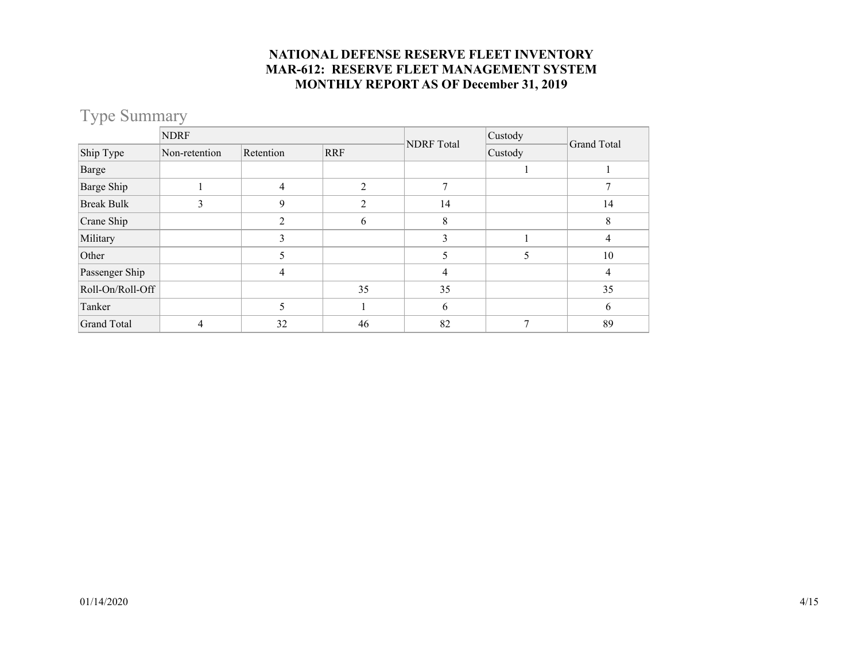# Type Summary

|                    | <b>NDRF</b>   |           |                | <b>NDRF</b> Total | Custody | Grand Total |  |
|--------------------|---------------|-----------|----------------|-------------------|---------|-------------|--|
| Ship Type          | Non-retention | Retention | <b>RRF</b>     | Custody           |         |             |  |
| Barge              |               |           |                |                   |         |             |  |
| Barge Ship         |               | 4         | $\mathfrak{D}$ |                   |         |             |  |
| <b>Break Bulk</b>  |               | 9         |                | 14                |         | 14          |  |
| Crane Ship         |               | 2         | 6              | 8                 |         | 8           |  |
| Military           |               | 3         |                | 3                 |         | 4           |  |
| Other              |               | 5         |                | 5                 | 5       | 10          |  |
| Passenger Ship     |               | 4         |                | 4                 |         | 4           |  |
| Roll-On/Roll-Off   |               |           | 35             | 35                |         | 35          |  |
| Tanker             |               | 5         |                | 6                 |         | 6           |  |
| <b>Grand Total</b> | 4             | 32        | 46             | 82                |         | 89          |  |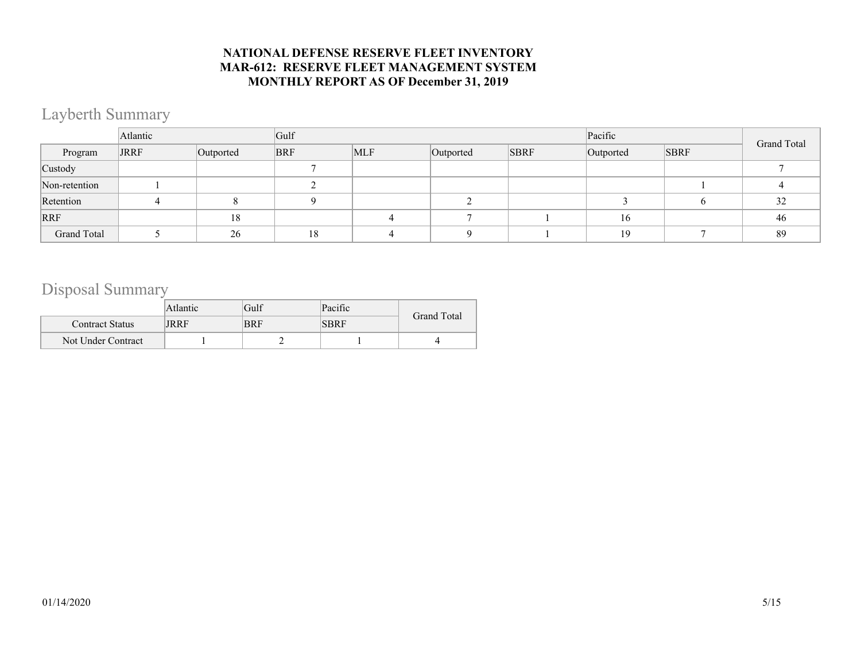## Layberth Summary

|               | Atlantic    |           | Gulf       |            |           |             | Pacific   |             |             |  |
|---------------|-------------|-----------|------------|------------|-----------|-------------|-----------|-------------|-------------|--|
| Program       | <b>JRRF</b> | Outported | <b>BRF</b> | <b>MLF</b> | Outported | <b>SBRF</b> | Outported | <b>SBRF</b> | Grand Total |  |
| Custody       |             |           |            |            |           |             |           |             |             |  |
| Non-retention |             |           |            |            |           |             |           |             |             |  |
| Retention     |             |           |            |            |           |             |           |             | 32          |  |
| <b>RRF</b>    |             | 18        |            |            |           |             | 16        |             | 46          |  |
| Grand Total   |             | 26        | 18         |            |           |             | 19        |             | 89          |  |

## Disposal Summary

|                        | Atlantic | Gulf       | Pacific     | <b>Grand Total</b> |  |
|------------------------|----------|------------|-------------|--------------------|--|
| <b>Contract Status</b> | JRRF     | <b>BRF</b> | <b>SBRF</b> |                    |  |
| Not Under Contract     |          |            |             |                    |  |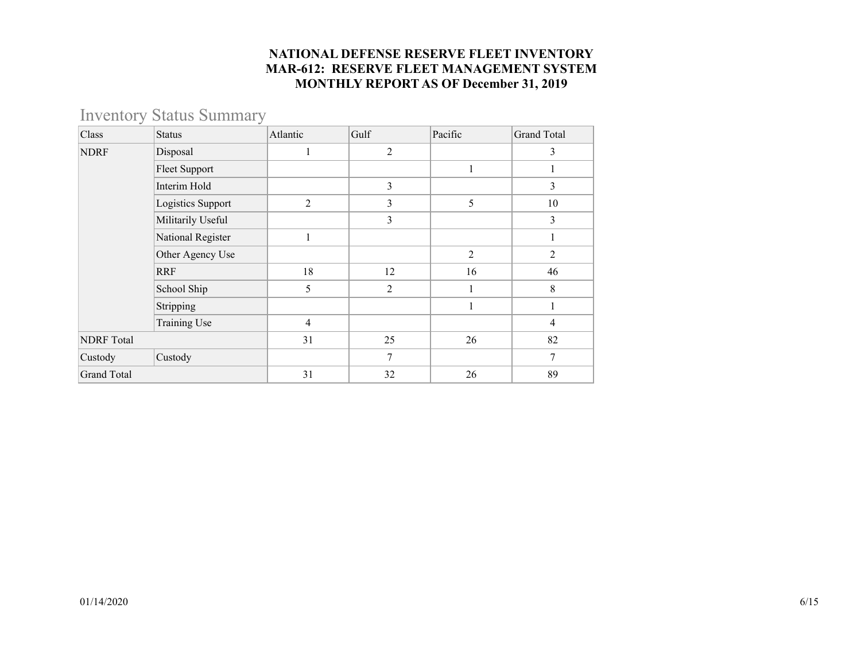# Inventory Status Summary

| Class              | <b>Status</b>        | Atlantic       | Gulf           | Pacific        | <b>Grand Total</b> |
|--------------------|----------------------|----------------|----------------|----------------|--------------------|
| <b>NDRF</b>        | Disposal             |                | $\overline{2}$ |                | 3                  |
|                    | <b>Fleet Support</b> |                |                |                |                    |
|                    | Interim Hold         |                | 3              |                | $\overline{3}$     |
|                    | Logistics Support    | 2              | 3              | 5              | 10                 |
|                    | Militarily Useful    |                | 3              |                | 3                  |
|                    | National Register    |                |                |                | 1                  |
|                    | Other Agency Use     |                |                | $\overline{2}$ | $\overline{2}$     |
|                    | <b>RRF</b>           | 18             | 12             | 16             | 46                 |
|                    | School Ship          | 5              | 2              |                | 8                  |
|                    | Stripping            |                |                |                |                    |
|                    | Training Use         | $\overline{4}$ |                |                | $\overline{4}$     |
| <b>NDRF</b> Total  |                      | 31             | 25             | 26             | 82                 |
| Custody            | Custody              |                | 7              |                | 7                  |
| <b>Grand Total</b> |                      | 31             | 32             | 26             | 89                 |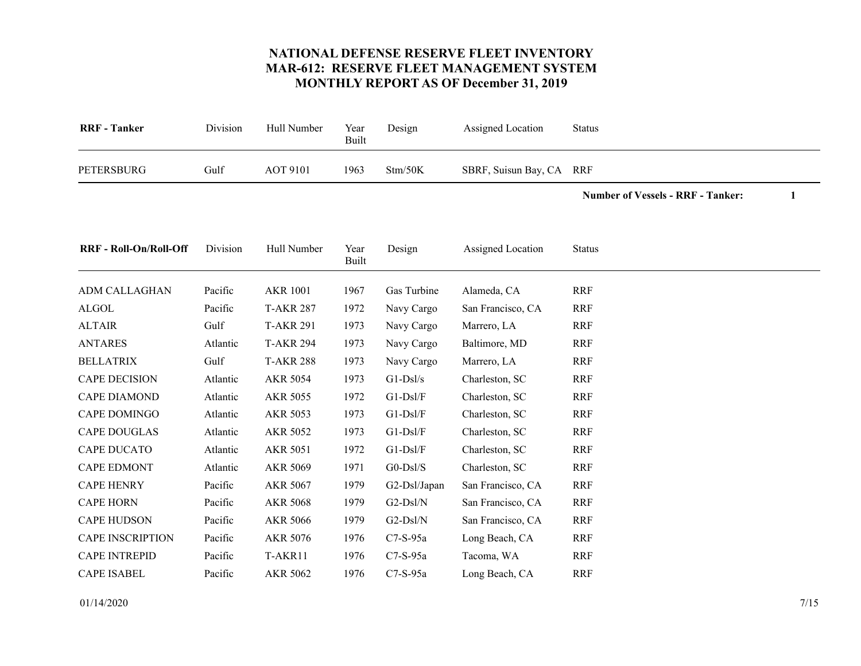<span id="page-6-17"></span>

| <b>RRF</b> - Tanker | Division | Hull Number     | Year<br>Built | Design  | Assigned Location        | Status |
|---------------------|----------|-----------------|---------------|---------|--------------------------|--------|
| PETERSBURG          | Gulf     | <b>AOT 9101</b> | 1963          | Stm/50K | SBRF, Suisun Bay, CA RRF |        |

**Number of Vessels - RRF - Tanker: 1**

<span id="page-6-16"></span><span id="page-6-15"></span><span id="page-6-14"></span><span id="page-6-13"></span><span id="page-6-12"></span><span id="page-6-11"></span><span id="page-6-10"></span><span id="page-6-9"></span><span id="page-6-8"></span><span id="page-6-7"></span><span id="page-6-6"></span><span id="page-6-5"></span><span id="page-6-4"></span><span id="page-6-3"></span><span id="page-6-2"></span><span id="page-6-1"></span><span id="page-6-0"></span>

| <b>RRF</b> - Roll-On/Roll-Off | Division | Hull Number      | Year<br>Built | Design         | Assigned Location | <b>Status</b> |
|-------------------------------|----------|------------------|---------------|----------------|-------------------|---------------|
| ADM CALLAGHAN                 | Pacific  | <b>AKR 1001</b>  | 1967          | Gas Turbine    | Alameda, CA       | <b>RRF</b>    |
| <b>ALGOL</b>                  | Pacific  | <b>T-AKR 287</b> | 1972          | Navy Cargo     | San Francisco, CA | <b>RRF</b>    |
| <b>ALTAIR</b>                 | Gulf     | <b>T-AKR 291</b> | 1973          | Navy Cargo     | Marrero, LA       | <b>RRF</b>    |
| <b>ANTARES</b>                | Atlantic | <b>T-AKR 294</b> | 1973          | Navy Cargo     | Baltimore, MD     | <b>RRF</b>    |
| <b>BELLATRIX</b>              | Gulf     | <b>T-AKR 288</b> | 1973          | Navy Cargo     | Marrero, LA       | <b>RRF</b>    |
| <b>CAPE DECISION</b>          | Atlantic | <b>AKR 5054</b>  | 1973          | $G1-Ds1/s$     | Charleston, SC    | <b>RRF</b>    |
| <b>CAPE DIAMOND</b>           | Atlantic | <b>AKR 5055</b>  | 1972          | $G1-Dsl/F$     | Charleston, SC    | <b>RRF</b>    |
| <b>CAPE DOMINGO</b>           | Atlantic | <b>AKR 5053</b>  | 1973          | $G1-DsI/F$     | Charleston, SC    | <b>RRF</b>    |
| <b>CAPE DOUGLAS</b>           | Atlantic | <b>AKR 5052</b>  | 1973          | $G1-Dsl/F$     | Charleston, SC    | <b>RRF</b>    |
| <b>CAPE DUCATO</b>            | Atlantic | <b>AKR 5051</b>  | 1972          | $G1-Dsl/F$     | Charleston, SC    | <b>RRF</b>    |
| <b>CAPE EDMONT</b>            | Atlantic | <b>AKR 5069</b>  | 1971          | $G0-Dsl/S$     | Charleston, SC    | <b>RRF</b>    |
| <b>CAPE HENRY</b>             | Pacific  | AKR 5067         | 1979          | $G2-DsI/Japan$ | San Francisco, CA | <b>RRF</b>    |
| <b>CAPE HORN</b>              | Pacific  | <b>AKR 5068</b>  | 1979          | $G2-Dsl/N$     | San Francisco, CA | <b>RRF</b>    |
| <b>CAPE HUDSON</b>            | Pacific  | <b>AKR 5066</b>  | 1979          | $G2-Dsl/N$     | San Francisco, CA | <b>RRF</b>    |
| <b>CAPE INSCRIPTION</b>       | Pacific  | <b>AKR 5076</b>  | 1976          | $C7-S-95a$     | Long Beach, CA    | <b>RRF</b>    |
| <b>CAPE INTREPID</b>          | Pacific  | T-AKR11          | 1976          | $C7-S-95a$     | Tacoma, WA        | <b>RRF</b>    |
| <b>CAPE ISABEL</b>            | Pacific  | <b>AKR 5062</b>  | 1976          | $C7-S-95a$     | Long Beach, CA    | <b>RRF</b>    |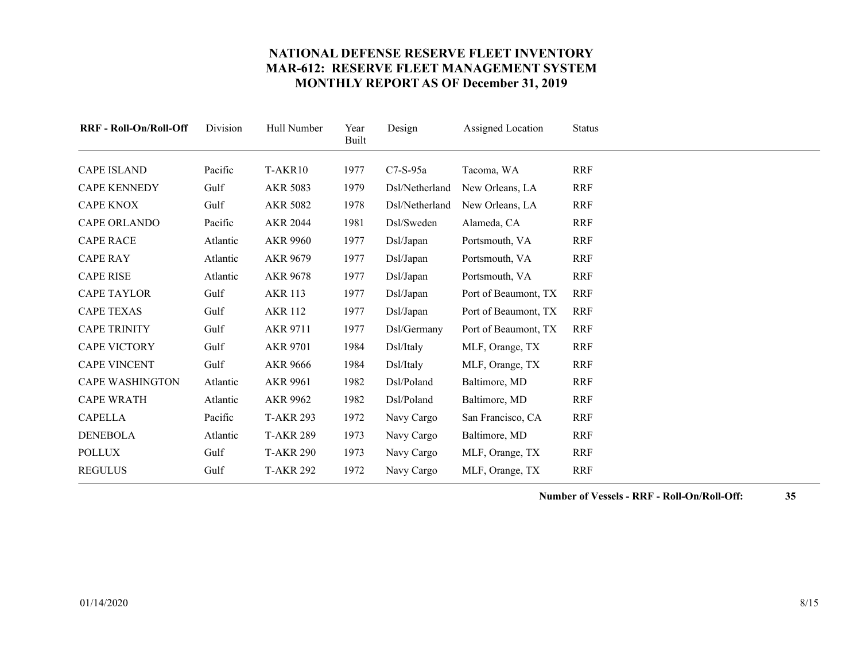<span id="page-7-17"></span><span id="page-7-16"></span><span id="page-7-15"></span><span id="page-7-14"></span><span id="page-7-13"></span><span id="page-7-12"></span><span id="page-7-11"></span><span id="page-7-10"></span><span id="page-7-9"></span><span id="page-7-8"></span><span id="page-7-7"></span><span id="page-7-6"></span><span id="page-7-5"></span><span id="page-7-4"></span><span id="page-7-3"></span><span id="page-7-2"></span><span id="page-7-1"></span><span id="page-7-0"></span>

| <b>RRF - Roll-On/Roll-Off</b> | Division | Hull Number      | Year<br><b>Built</b> | Design         | Assigned Location    | <b>Status</b> |
|-------------------------------|----------|------------------|----------------------|----------------|----------------------|---------------|
| <b>CAPE ISLAND</b>            | Pacific  | T-AKR10          | 1977                 | $C7-S-95a$     | Tacoma, WA           | <b>RRF</b>    |
| <b>CAPE KENNEDY</b>           | Gulf     | <b>AKR 5083</b>  | 1979                 | Dsl/Netherland | New Orleans, LA      | <b>RRF</b>    |
| <b>CAPE KNOX</b>              | Gulf     | <b>AKR 5082</b>  | 1978                 | Dsl/Netherland | New Orleans, LA      | <b>RRF</b>    |
| <b>CAPE ORLANDO</b>           | Pacific  | <b>AKR 2044</b>  | 1981                 | Dsl/Sweden     | Alameda, CA          | <b>RRF</b>    |
| <b>CAPE RACE</b>              | Atlantic | <b>AKR 9960</b>  | 1977                 | Dsl/Japan      | Portsmouth, VA       | <b>RRF</b>    |
| <b>CAPE RAY</b>               | Atlantic | AKR 9679         | 1977                 | Dsl/Japan      | Portsmouth, VA       | <b>RRF</b>    |
| <b>CAPE RISE</b>              | Atlantic | <b>AKR 9678</b>  | 1977                 | Dsl/Japan      | Portsmouth, VA       | <b>RRF</b>    |
| <b>CAPE TAYLOR</b>            | Gulf     | <b>AKR 113</b>   | 1977                 | Dsl/Japan      | Port of Beaumont, TX | <b>RRF</b>    |
| <b>CAPE TEXAS</b>             | Gulf     | <b>AKR 112</b>   | 1977                 | Dsl/Japan      | Port of Beaumont, TX | <b>RRF</b>    |
| <b>CAPE TRINITY</b>           | Gulf     | <b>AKR 9711</b>  | 1977                 | Dsl/Germany    | Port of Beaumont, TX | <b>RRF</b>    |
| <b>CAPE VICTORY</b>           | Gulf     | <b>AKR 9701</b>  | 1984                 | Dsl/Italy      | MLF, Orange, TX      | <b>RRF</b>    |
| <b>CAPE VINCENT</b>           | Gulf     | <b>AKR 9666</b>  | 1984                 | Dsl/Italy      | MLF, Orange, TX      | <b>RRF</b>    |
| <b>CAPE WASHINGTON</b>        | Atlantic | AKR 9961         | 1982                 | Dsl/Poland     | Baltimore, MD        | <b>RRF</b>    |
| <b>CAPE WRATH</b>             | Atlantic | <b>AKR 9962</b>  | 1982                 | Dsl/Poland     | Baltimore, MD        | <b>RRF</b>    |
| <b>CAPELLA</b>                | Pacific  | <b>T-AKR 293</b> | 1972                 | Navy Cargo     | San Francisco, CA    | <b>RRF</b>    |
| <b>DENEBOLA</b>               | Atlantic | <b>T-AKR 289</b> | 1973                 | Navy Cargo     | Baltimore, MD        | <b>RRF</b>    |
| <b>POLLUX</b>                 | Gulf     | <b>T-AKR 290</b> | 1973                 | Navy Cargo     | MLF, Orange, TX      | <b>RRF</b>    |
| <b>REGULUS</b>                | Gulf     | <b>T-AKR 292</b> | 1972                 | Navy Cargo     | MLF, Orange, TX      | <b>RRF</b>    |

**Number of Vessels - RRF - Roll-On/Roll-Off: 35**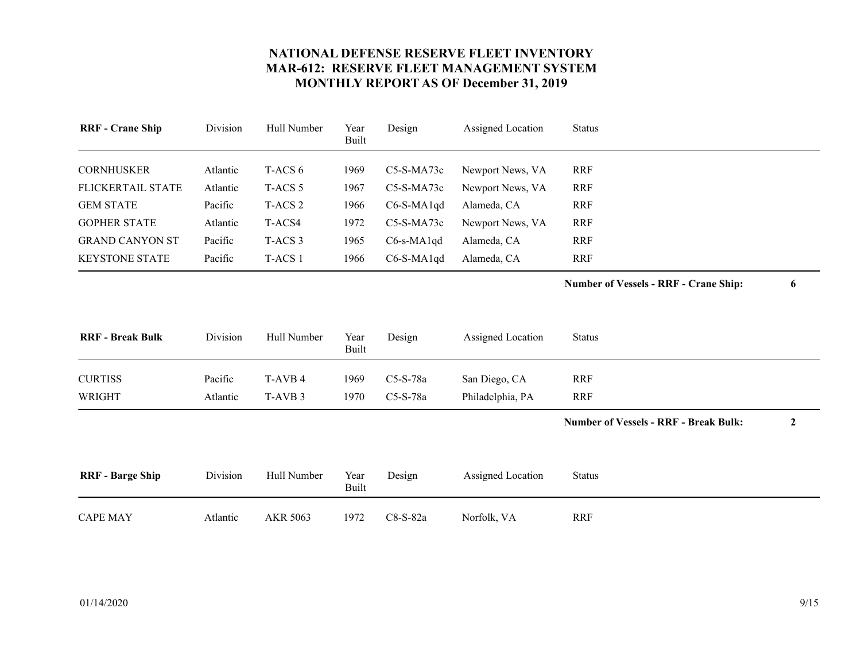<span id="page-8-8"></span><span id="page-8-7"></span><span id="page-8-6"></span><span id="page-8-5"></span><span id="page-8-4"></span><span id="page-8-3"></span><span id="page-8-2"></span><span id="page-8-1"></span><span id="page-8-0"></span>

| <b>RRF</b> - Crane Ship  | Division | Hull Number        | Year<br><b>Built</b> | Design        | Assigned Location | <b>Status</b>                                |                  |
|--------------------------|----------|--------------------|----------------------|---------------|-------------------|----------------------------------------------|------------------|
| <b>CORNHUSKER</b>        | Atlantic | T-ACS 6            | 1969                 | C5-S-MA73c    | Newport News, VA  | <b>RRF</b>                                   |                  |
| <b>FLICKERTAIL STATE</b> | Atlantic | T-ACS <sub>5</sub> | 1967                 | C5-S-MA73c    | Newport News, VA  | <b>RRF</b>                                   |                  |
| <b>GEM STATE</b>         | Pacific  | T-ACS <sub>2</sub> | 1966                 | $C6-S-MA1qd$  | Alameda, CA       | <b>RRF</b>                                   |                  |
| <b>GOPHER STATE</b>      | Atlantic | T-ACS4             | 1972                 | $C5-S-MA73c$  | Newport News, VA  | <b>RRF</b>                                   |                  |
| <b>GRAND CANYON ST</b>   | Pacific  | T-ACS <sub>3</sub> | 1965                 | $C6$ -s-MA1qd | Alameda, CA       | <b>RRF</b>                                   |                  |
| <b>KEYSTONE STATE</b>    | Pacific  | T-ACS 1            | 1966                 | $C6-S-MA1qd$  | Alameda, CA       | <b>RRF</b>                                   |                  |
|                          |          |                    |                      |               |                   | <b>Number of Vessels - RRF - Crane Ship:</b> | 6                |
| <b>RRF</b> - Break Bulk  | Division | Hull Number        | Year<br><b>Built</b> | Design        | Assigned Location | <b>Status</b>                                |                  |
| <b>CURTISS</b>           | Pacific  | T-AVB 4            | 1969                 | C5-S-78a      | San Diego, CA     | <b>RRF</b>                                   |                  |
| <b>WRIGHT</b>            | Atlantic | T-AVB <sub>3</sub> | 1970                 | C5-S-78a      | Philadelphia, PA  | <b>RRF</b>                                   |                  |
|                          |          |                    |                      |               |                   | <b>Number of Vessels - RRF - Break Bulk:</b> | $\boldsymbol{2}$ |
| <b>RRF</b> - Barge Ship  | Division | Hull Number        | Year<br><b>Built</b> | Design        | Assigned Location | <b>Status</b>                                |                  |
| <b>CAPE MAY</b>          | Atlantic | AKR 5063           | 1972                 | C8-S-82a      | Norfolk, VA       | <b>RRF</b>                                   |                  |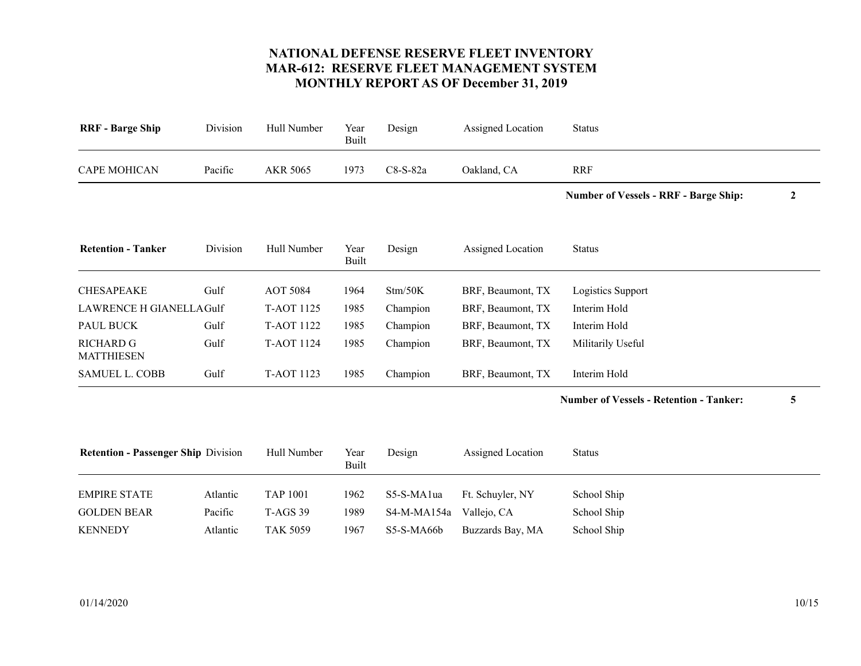<span id="page-9-8"></span><span id="page-9-7"></span><span id="page-9-6"></span><span id="page-9-5"></span><span id="page-9-4"></span><span id="page-9-3"></span><span id="page-9-2"></span><span id="page-9-1"></span><span id="page-9-0"></span>

| <b>RRF</b> - Barge Ship                    | Division | Hull Number       | Year<br><b>Built</b> | Design      | Assigned Location | <b>Status</b>                                  |              |
|--------------------------------------------|----------|-------------------|----------------------|-------------|-------------------|------------------------------------------------|--------------|
| <b>CAPE MOHICAN</b>                        | Pacific  | AKR 5065          | 1973                 | C8-S-82a    | Oakland, CA       | <b>RRF</b>                                     |              |
|                                            |          |                   |                      |             |                   | <b>Number of Vessels - RRF - Barge Ship:</b>   | $\mathbf{2}$ |
| <b>Retention - Tanker</b>                  | Division | Hull Number       | Year<br><b>Built</b> | Design      | Assigned Location | <b>Status</b>                                  |              |
| <b>CHESAPEAKE</b>                          | Gulf     | <b>AOT 5084</b>   | 1964                 | Stm/50K     | BRF, Beaumont, TX | Logistics Support                              |              |
| <b>LAWRENCE H GIANELLA Gulf</b>            |          | <b>T-AOT 1125</b> | 1985                 | Champion    | BRF, Beaumont, TX | Interim Hold                                   |              |
| <b>PAUL BUCK</b>                           | Gulf     | T-AOT 1122        | 1985                 | Champion    | BRF, Beaumont, TX | Interim Hold                                   |              |
| <b>RICHARD G</b><br><b>MATTHIESEN</b>      | Gulf     | T-AOT 1124        | 1985                 | Champion    | BRF, Beaumont, TX | Militarily Useful                              |              |
| <b>SAMUEL L. COBB</b>                      | Gulf     | T-AOT 1123        | 1985                 | Champion    | BRF, Beaumont, TX | Interim Hold                                   |              |
|                                            |          |                   |                      |             |                   | <b>Number of Vessels - Retention - Tanker:</b> | 5            |
| <b>Retention - Passenger Ship Division</b> |          | Hull Number       | Year<br>Built        | Design      | Assigned Location | <b>Status</b>                                  |              |
| <b>EMPIRE STATE</b>                        | Atlantic | <b>TAP 1001</b>   | 1962                 | S5-S-MA1ua  | Ft. Schuyler, NY  | School Ship                                    |              |
| <b>GOLDEN BEAR</b>                         | Pacific  | <b>T-AGS 39</b>   | 1989                 | S4-M-MA154a | Vallejo, CA       | School Ship                                    |              |
| <b>KENNEDY</b>                             | Atlantic | <b>TAK 5059</b>   | 1967                 | S5-S-MA66b  | Buzzards Bay, MA  | School Ship                                    |              |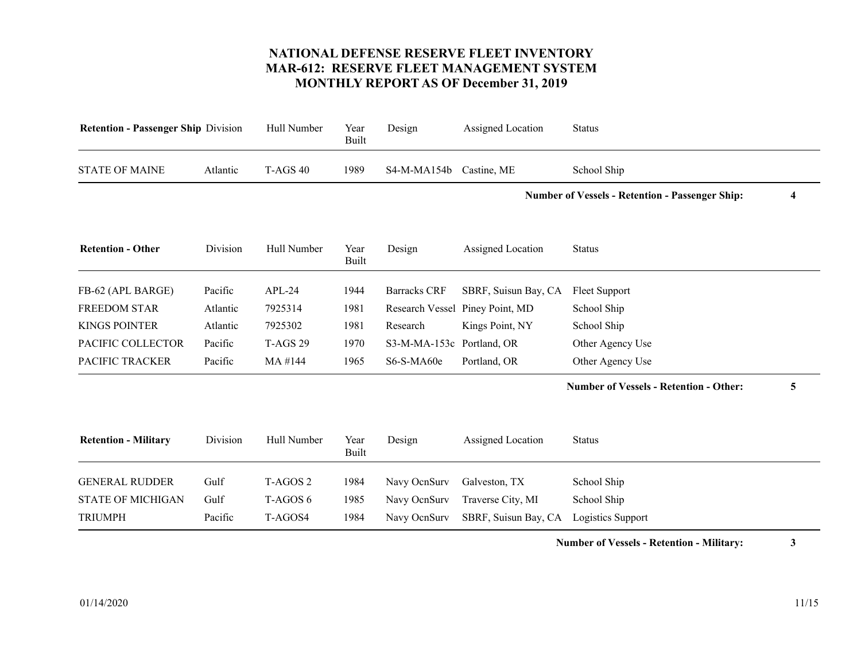<span id="page-10-8"></span><span id="page-10-7"></span><span id="page-10-6"></span><span id="page-10-5"></span><span id="page-10-4"></span><span id="page-10-3"></span><span id="page-10-2"></span><span id="page-10-1"></span><span id="page-10-0"></span>

| <b>Retention - Passenger Ship Division</b> | Hull Number         | Year<br><b>Built</b> | Design              | Assigned Location    | <b>Status</b>                                                |                                                        |
|--------------------------------------------|---------------------|----------------------|---------------------|----------------------|--------------------------------------------------------------|--------------------------------------------------------|
| Atlantic                                   | <b>T-AGS 40</b>     | 1989                 | S4-M-MA154b         | Castine, ME          | School Ship                                                  |                                                        |
|                                            |                     |                      |                     |                      |                                                              | 4                                                      |
| Division                                   | Hull Number         | Year<br><b>Built</b> | Design              | Assigned Location    | <b>Status</b>                                                |                                                        |
| Pacific                                    | $APL-24$            | 1944                 | <b>Barracks CRF</b> | SBRF, Suisun Bay, CA | Fleet Support                                                |                                                        |
| Atlantic                                   | 7925314             | 1981                 |                     |                      | School Ship                                                  |                                                        |
| Atlantic                                   | 7925302             | 1981                 | Research            | Kings Point, NY      | School Ship                                                  |                                                        |
| Pacific                                    | <b>T-AGS 29</b>     | 1970                 |                     |                      | Other Agency Use                                             |                                                        |
| Pacific                                    | MA #144             | 1965                 | S6-S-MA60e          | Portland, OR         | Other Agency Use                                             |                                                        |
|                                            |                     |                      |                     |                      | <b>Number of Vessels - Retention - Other:</b>                | 5                                                      |
| Division                                   | Hull Number         | Year<br><b>Built</b> | Design              | Assigned Location    | <b>Status</b>                                                |                                                        |
| Gulf                                       | T-AGOS <sub>2</sub> | 1984                 | Navy OcnSurv        | Galveston, TX        | School Ship                                                  |                                                        |
| Gulf                                       | T-AGOS 6            | 1985                 | Navy OcnSurv        | Traverse City, MI    | School Ship                                                  |                                                        |
| Pacific                                    | T-AGOS4             | 1984                 | Navy OcnSurv        | SBRF, Suisun Bay, CA | Logistics Support                                            |                                                        |
|                                            |                     |                      |                     |                      | Research Vessel Piney Point, MD<br>S3-M-MA-153c Portland, OR | <b>Number of Vessels - Retention - Passenger Ship:</b> |

**Number of Vessels - Retention - Military: 3**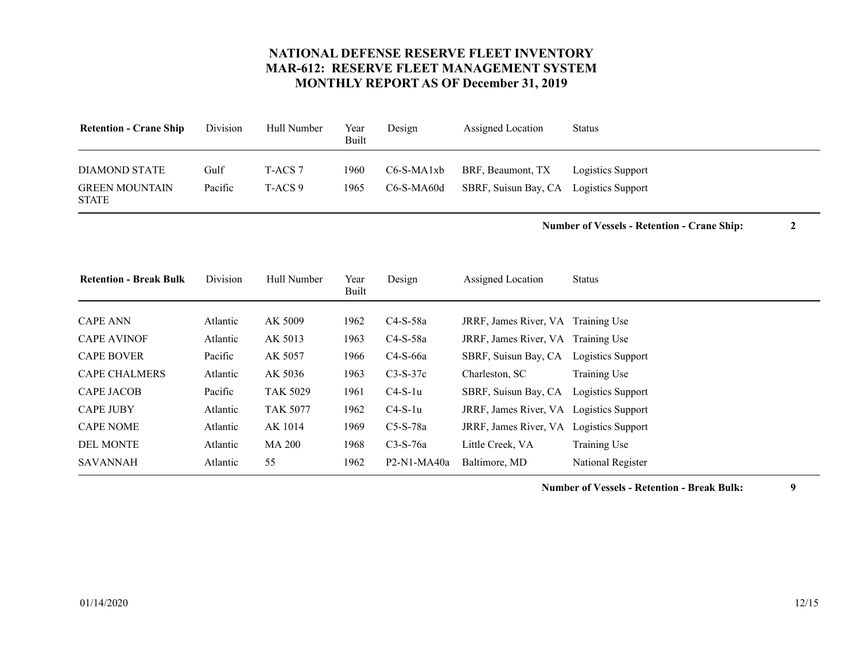<span id="page-11-9"></span><span id="page-11-8"></span>

| <b>Retention - Crane Ship</b>                          | Division        | Hull Number        | Year<br>Built | Design                     | Assigned Location                                           | <b>Status</b>     |
|--------------------------------------------------------|-----------------|--------------------|---------------|----------------------------|-------------------------------------------------------------|-------------------|
| DIAMOND STATE<br><b>GREEN MOUNTAIN</b><br><b>STATE</b> | Gulf<br>Pacific | T-ACS 7<br>T-ACS 9 | 1960<br>1965  | $C6-S-MA1xb$<br>C6-S-MA60d | BRF, Beaumont, TX<br>SBRF, Suisun Bay, CA Logistics Support | Logistics Support |

**Number of Vessels - Retention - Crane Ship: 2**

<span id="page-11-10"></span><span id="page-11-7"></span><span id="page-11-6"></span><span id="page-11-5"></span><span id="page-11-4"></span><span id="page-11-3"></span><span id="page-11-2"></span><span id="page-11-1"></span><span id="page-11-0"></span>

| <b>Retention - Break Bulk</b> | Division | Hull Number     | Year<br>Built | Design        | Assigned Location                       | <b>Status</b>     |
|-------------------------------|----------|-----------------|---------------|---------------|-----------------------------------------|-------------------|
| <b>CAPE ANN</b>               | Atlantic | AK 5009         | 1962          | $C4-S-58a$    | JRRF, James River, VA Training Use      |                   |
| <b>CAPE AVINOF</b>            | Atlantic | AK 5013         | 1963          | $C4-S-58a$    | JRRF, James River, VA Training Use      |                   |
| <b>CAPE BOVER</b>             | Pacific  | AK 5057         | 1966          | $C4-S-66a$    | SBRF, Suisun Bay, CA Logistics Support  |                   |
| <b>CAPE CHALMERS</b>          | Atlantic | AK 5036         | 1963          | $C3-S-37c$    | Charleston, SC                          | Training Use      |
| <b>CAPE JACOB</b>             | Pacific  | <b>TAK 5029</b> | 1961          | $C4-S-1u$     | SBRF, Suisun Bay, CA                    | Logistics Support |
| <b>CAPE JUBY</b>              | Atlantic | <b>TAK 5077</b> | 1962          | $C4-S-1u$     | JRRF, James River, VA Logistics Support |                   |
| <b>CAPE NOME</b>              | Atlantic | AK 1014         | 1969          | $C5-S-78a$    | JRRF, James River, VA Logistics Support |                   |
| <b>DEL MONTE</b>              | Atlantic | <b>MA 200</b>   | 1968          | $C3-S-76a$    | Little Creek, VA                        | Training Use      |
| <b>SAVANNAH</b>               | Atlantic | 55              | 1962          | $P2-N1-MA40a$ | Baltimore, MD                           | National Register |

**Number of Vessels - Retention - Break Bulk: 9**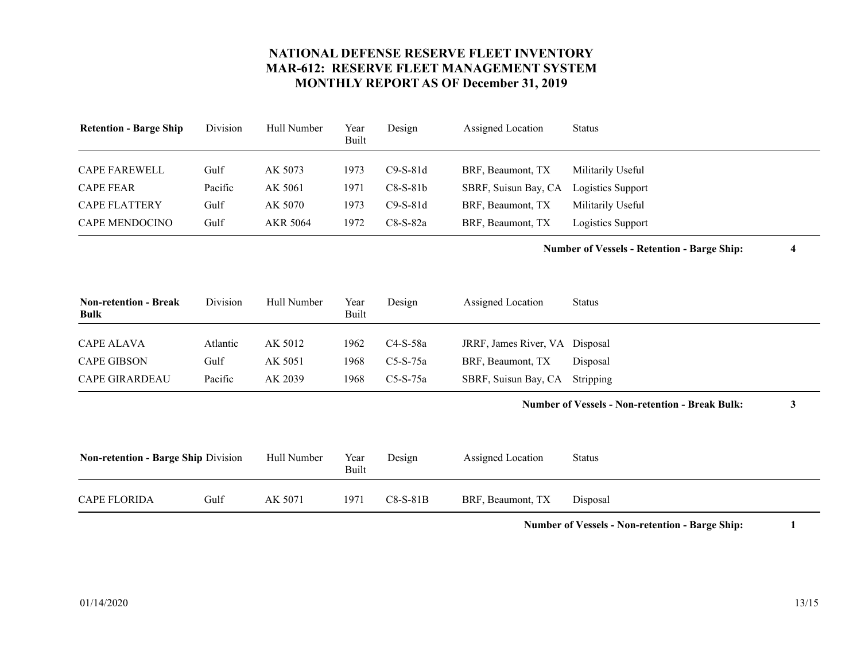<span id="page-12-3"></span><span id="page-12-2"></span><span id="page-12-1"></span>

| <b>Retention - Barge Ship</b> | Division | Hull Number | Year<br>Built | Design     | Assigned Location    | <b>Status</b>            |
|-------------------------------|----------|-------------|---------------|------------|----------------------|--------------------------|
| <b>CAPE FAREWELL</b>          | Gulf     | AK 5073     | 1973          | $C9-S-81d$ | BRF, Beaumont, TX    | Militarily Useful        |
| <b>CAPE FEAR</b>              | Pacific  | AK 5061     | 1971          | $C8-S-81b$ | SBRF, Suisun Bay, CA | <b>Logistics Support</b> |
| <b>CAPE FLATTERY</b>          | Gulf     | AK 5070     | 1973          | $C9-S-81d$ | BRF, Beaumont, TX    | Militarily Useful        |
| <b>CAPE MENDOCINO</b>         | Gulf     | AKR 5064    | 1972          | $C8-S-82a$ | BRF, Beaumont, TX    | Logistics Support        |

**Number of Vessels - Retention - Barge Ship: 4**

<span id="page-12-7"></span><span id="page-12-5"></span><span id="page-12-0"></span>

| <b>Non-retention - Break</b><br><b>Bulk</b> | Division | Hull Number | Year<br>Built | Design     | Assigned Location              | Status   |
|---------------------------------------------|----------|-------------|---------------|------------|--------------------------------|----------|
|                                             |          |             |               |            |                                |          |
| <b>CAPE ALAVA</b>                           | Atlantic | AK 5012     | 1962.         | C4-S-58a   | JRRF, James River, VA Disposal |          |
| <b>CAPE GIBSON</b>                          | Gulf     | AK 5051     | 1968          | $C5-S-75a$ | BRF, Beaumont, TX              | Disposal |
| <b>CAPE GIRARDEAU</b>                       | Pacific  | AK 2039     | 1968          | $C5-S-75a$ | SBRF, Suisun Bay, CA Stripping |          |

#### **Number of Vessels - Non-retention - Break Bulk: 3**

<span id="page-12-6"></span><span id="page-12-4"></span>

| <b>Non-retention - Barge Ship Division</b> |      | Hull Number | Year<br>Built | Design     | Assigned Location | <b>Status</b> |
|--------------------------------------------|------|-------------|---------------|------------|-------------------|---------------|
| <b>CAPE FLORIDA</b>                        | Gulf | AK 5071     | 1971          | $C8-S-81B$ | BRF, Beaumont, TX | Disposal      |

**Number of Vessels - Non-retention - Barge Ship: 1**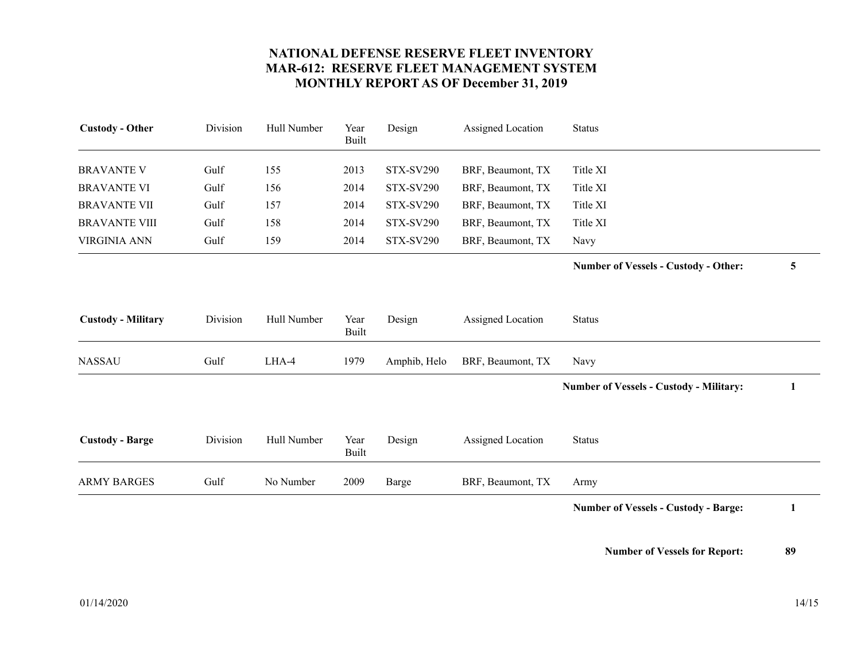<span id="page-13-6"></span><span id="page-13-5"></span><span id="page-13-4"></span><span id="page-13-3"></span><span id="page-13-2"></span><span id="page-13-1"></span><span id="page-13-0"></span>

| <b>Custody - Other</b>    | Division | Hull Number | Year<br><b>Built</b> | Design           | Assigned Location | <b>Status</b>                                  |   |
|---------------------------|----------|-------------|----------------------|------------------|-------------------|------------------------------------------------|---|
| <b>BRAVANTE V</b>         | Gulf     | 155         | 2013                 | <b>STX-SV290</b> | BRF, Beaumont, TX | Title XI                                       |   |
| <b>BRAVANTE VI</b>        | Gulf     | 156         | 2014                 | <b>STX-SV290</b> | BRF, Beaumont, TX | Title XI                                       |   |
| <b>BRAVANTE VII</b>       | Gulf     | 157         | 2014                 | <b>STX-SV290</b> | BRF, Beaumont, TX | Title XI                                       |   |
| <b>BRAVANTE VIII</b>      | Gulf     | 158         | 2014                 | <b>STX-SV290</b> | BRF, Beaumont, TX | Title XI                                       |   |
| <b>VIRGINIA ANN</b>       | Gulf     | 159         | 2014                 | <b>STX-SV290</b> | BRF, Beaumont, TX | Navy                                           |   |
|                           |          |             |                      |                  |                   | <b>Number of Vessels - Custody - Other:</b>    | 5 |
| <b>Custody - Military</b> | Division | Hull Number | Year<br><b>Built</b> | Design           | Assigned Location | <b>Status</b>                                  |   |
| <b>NASSAU</b>             | Gulf     | LHA-4       | 1979                 | Amphib, Helo     | BRF, Beaumont, TX | Navy                                           |   |
|                           |          |             |                      |                  |                   | <b>Number of Vessels - Custody - Military:</b> | 1 |
| <b>Custody - Barge</b>    | Division | Hull Number | Year<br><b>Built</b> | Design           | Assigned Location | <b>Status</b>                                  |   |
| <b>ARMY BARGES</b>        | Gulf     | No Number   | 2009                 | <b>Barge</b>     | BRF, Beaumont, TX | Army                                           |   |
|                           |          |             |                      |                  |                   | <b>Number of Vessels - Custody - Barge:</b>    | 1 |
|                           |          |             |                      |                  |                   |                                                |   |